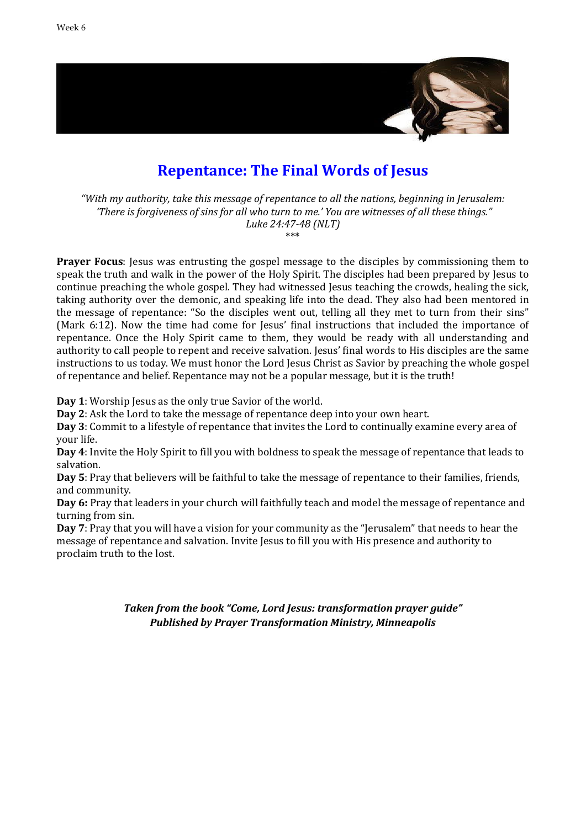

### **Repentance: The Final Words of Jesus**

*"With my authority, take this message of repentance to all the nations, beginning in Jerusalem: 'There is forgiveness of sins for all who turn to me.' You are witnesses of all these things." Luke 24:47-48 (NLT)*

\*\*\*

**Prayer Focus**: Jesus was entrusting the gospel message to the disciples by commissioning them to speak the truth and walk in the power of the Holy Spirit. The disciples had been prepared by Jesus to continue preaching the whole gospel. They had witnessed Jesus teaching the crowds, healing the sick, taking authority over the demonic, and speaking life into the dead. They also had been mentored in the message of repentance: "So the disciples went out, telling all they met to turn from their sins" (Mark 6:12). Now the time had come for Jesus' final instructions that included the importance of repentance. Once the Holy Spirit came to them, they would be ready with all understanding and authority to call people to repent and receive salvation. Jesus' final words to His disciples are the same instructions to us today. We must honor the Lord Jesus Christ as Savior by preaching the whole gospel of repentance and belief. Repentance may not be a popular message, but it is the truth!

**Day 1**: Worship Jesus as the only true Savior of the world.

**Day 2**: Ask the Lord to take the message of repentance deep into your own heart.

**Day 3**: Commit to a lifestyle of repentance that invites the Lord to continually examine every area of your life.

**Day 4**: Invite the Holy Spirit to fill you with boldness to speak the message of repentance that leads to salvation.

**Day 5**: Pray that believers will be faithful to take the message of repentance to their families, friends, and community.

**Day 6:** Pray that leaders in your church will faithfully teach and model the message of repentance and turning from sin.

**Day 7**: Pray that you will have a vision for your community as the "Jerusalem" that needs to hear the message of repentance and salvation. Invite Jesus to fill you with His presence and authority to proclaim truth to the lost.

> *Taken from the book "Come, Lord Jesus: transformation prayer guide" Published by Prayer Transformation Ministry, Minneapolis*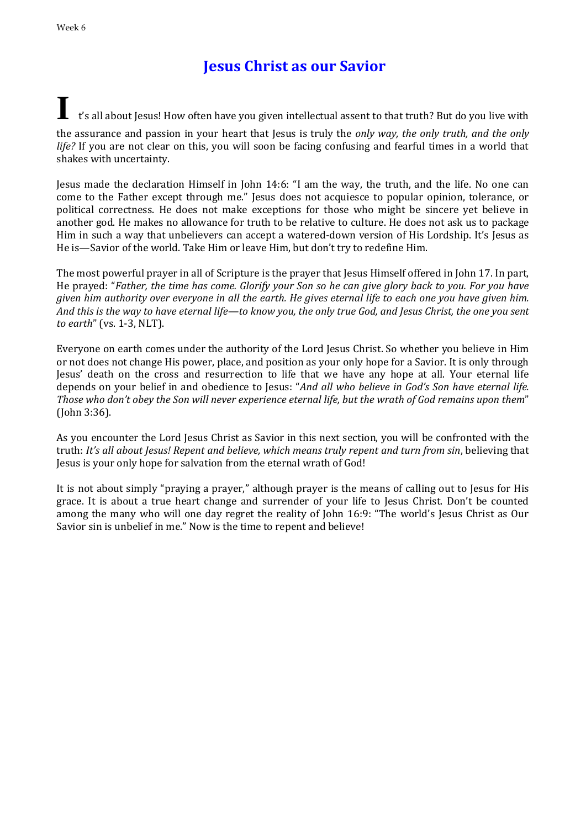## **Jesus Christ as our Savior**

### **I** t's all about Jesus! How often have you given intellectual assent to that truth? But do you live with the assurance and passion in your heart that Jesus is truly the *only way, the only truth, and the only life?* If you are not clear on this, you will soon be facing confusing and fearful times in a world that

shakes with uncertainty. Jesus made the declaration Himself in John 14:6: "I am the way, the truth, and the life. No one can come to the Father except through me." Jesus does not acquiesce to popular opinion, tolerance, or political correctness. He does not make exceptions for those who might be sincere yet believe in another god. He makes no allowance for truth to be relative to culture. He does not ask us to package Him in such a way that unbelievers can accept a watered-down version of His Lordship. It's Jesus as

He is—Savior of the world. Take Him or leave Him, but don't try to redefine Him.

The most powerful prayer in all of Scripture is the prayer that Jesus Himself offered in John 17. In part, He prayed: "*Father, the time has come. Glorify your Son so he can give glory back to you. For you have given him authority over everyone in all the earth. He gives eternal life to each one you have given him. And this is the way to have eternal life—to know you, the only true God, and Jesus Christ, the one you sent to earth*" (vs. 1-3, NLT).

Everyone on earth comes under the authority of the Lord Jesus Christ. So whether you believe in Him or not does not change His power, place, and position as your only hope for a Savior. It is only through Jesus' death on the cross and resurrection to life that we have any hope at all. Your eternal life depends on your belief in and obedience to Jesus: "*And all who believe in God's Son have eternal life. Those who don't obey the Son will never experience eternal life, but the wrath of God remains upon them*" (John 3:36).

As you encounter the Lord Jesus Christ as Savior in this next section, you will be confronted with the truth: *It's all about Jesus! Repent and believe, which means truly repent and turn from sin*, believing that Jesus is your only hope for salvation from the eternal wrath of God!

It is not about simply "praying a prayer," although prayer is the means of calling out to Jesus for His grace. It is about a true heart change and surrender of your life to Jesus Christ. Don't be counted among the many who will one day regret the reality of John 16:9: "The world's Jesus Christ as Our Savior sin is unbelief in me." Now is the time to repent and believe!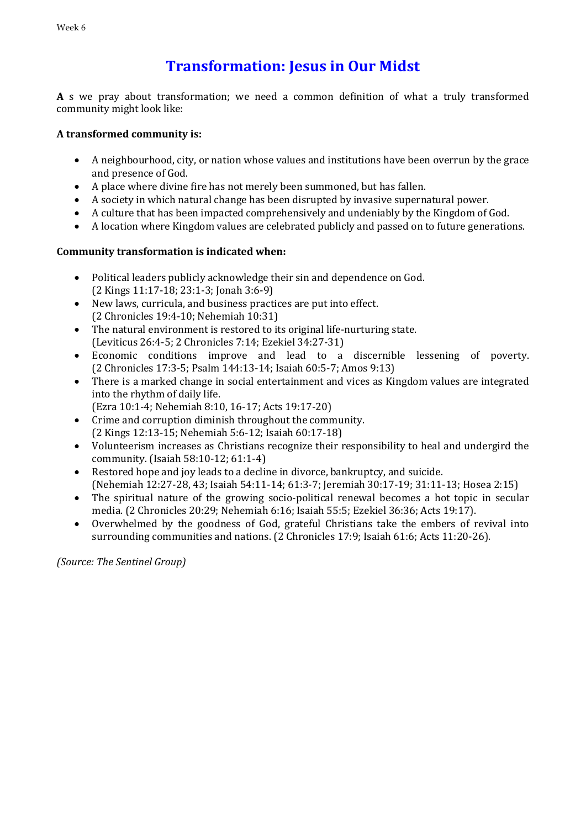# **Transformation: Jesus in Our Midst**

**A** s we pray about transformation; we need a common definition of what a truly transformed community might look like:

#### **A transformed community is:**

- A neighbourhood, city, or nation whose values and institutions have been overrun by the grace and presence of God.
- A place where divine fire has not merely been summoned, but has fallen.
- A society in which natural change has been disrupted by invasive supernatural power.
- A culture that has been impacted comprehensively and undeniably by the Kingdom of God.
- A location where Kingdom values are celebrated publicly and passed on to future generations.

### **Community transformation is indicated when:**

- Political leaders publicly acknowledge their sin and dependence on God. (2 Kings 11:17-18; 23:1-3; Jonah 3:6-9)
- New laws, curricula, and business practices are put into effect. (2 Chronicles 19:4-10; Nehemiah 10:31)
- The natural environment is restored to its original life-nurturing state. (Leviticus 26:4-5; 2 Chronicles 7:14; Ezekiel 34:27-31)
- Economic conditions improve and lead to a discernible lessening of poverty. (2 Chronicles 17:3-5; Psalm 144:13-14; Isaiah 60:5-7; Amos 9:13)
- There is a marked change in social entertainment and vices as Kingdom values are integrated into the rhythm of daily life.
	- (Ezra 10:1-4; Nehemiah 8:10, 16-17; Acts 19:17-20)
- Crime and corruption diminish throughout the community. (2 Kings 12:13-15; Nehemiah 5:6-12; Isaiah 60:17-18)
- Volunteerism increases as Christians recognize their responsibility to heal and undergird the community. (Isaiah 58:10-12; 61:1-4)
- Restored hope and joy leads to a decline in divorce, bankruptcy, and suicide. (Nehemiah 12:27-28, 43; Isaiah 54:11-14; 61:3-7; Jeremiah 30:17-19; 31:11-13; Hosea 2:15)
- The spiritual nature of the growing socio-political renewal becomes a hot topic in secular media. (2 Chronicles 20:29; Nehemiah 6:16; Isaiah 55:5; Ezekiel 36:36; Acts 19:17).
- Overwhelmed by the goodness of God, grateful Christians take the embers of revival into surrounding communities and nations. (2 Chronicles 17:9; Isaiah 61:6; Acts 11:20-26).

*(Source: The Sentinel Group)*